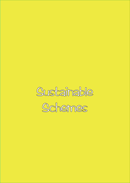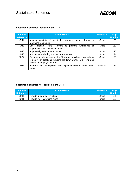## **Sustainable schemes included in the UTP;**

| <b>Scheme</b>    | <b>Scheme Name</b>                                              | <b>Timescale</b> | Page          |  |
|------------------|-----------------------------------------------------------------|------------------|---------------|--|
| <b>Reference</b> |                                                                 |                  | <b>Number</b> |  |
| SM <sub>1</sub>  | Improve publicity of sustainable transport options through a    | Short            | 158           |  |
|                  | Marketing Campaign                                              |                  |               |  |
| SM <sub>2</sub>  | Use Personal Travel Planning to<br>οf<br>promote<br>awareness   | Short            | 162           |  |
|                  | opportunities for sustainable travel                            |                  |               |  |
| SM <sub>5</sub>  | Improve signage for pedestrians                                 | Short            | 170           |  |
| SM7              | Introduce car sharing and car club schemes                      | Short            | 174           |  |
| <b>SM10</b>      | Produce a walking strategy for Stevenage which reviews walking  | Short            | 178           |  |
|                  | routes in key locations including the Town Centre, Old Town and |                  |               |  |
|                  | Pin Green employment area                                       |                  |               |  |
| SM <sub>6</sub>  | Increase the development and implementation of work travel      | Medium           | 181           |  |
|                  | plans                                                           |                  |               |  |

## **Sustainable schemes not included in the UTP;**

| <b>Scheme</b><br><b>Reference</b> | Scheme Name                         | Timescale | Page<br><b>Number</b> |
|-----------------------------------|-------------------------------------|-----------|-----------------------|
| SM <sub>3</sub>                   | <b>Provide Integrated Ticketing</b> | Short     | 166                   |
| SM4                               | Provide walking/cycling maps        | Short     | 168                   |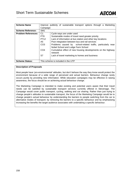

| <b>Scheme Name</b>         |                                                                           | Improve publicity of sustainable transport options through a Marketing |  |  |  |
|----------------------------|---------------------------------------------------------------------------|------------------------------------------------------------------------|--|--|--|
|                            | Campaign                                                                  |                                                                        |  |  |  |
| <b>Scheme Reference:</b>   | SM <sub>1</sub>                                                           |                                                                        |  |  |  |
| <b>Problem References:</b> | C <sub>1</sub>                                                            | Cycle ways are under used                                              |  |  |  |
|                            | PT <sub>8</sub>                                                           | Sustainable modes of travel need greater priority                      |  |  |  |
|                            | <b>PT12</b><br>Lack of information at bus station and other key locations |                                                                        |  |  |  |
|                            | A5                                                                        | Poor integration between bus and rail services                         |  |  |  |
|                            | CO <sub>3</sub>                                                           | Problems caused by school-related traffic, particularly near           |  |  |  |
|                            | Nobel School and Lodge Farm School                                        |                                                                        |  |  |  |
|                            | CO <sub>4</sub>                                                           | Cumulative effect of new housing developments on the highway           |  |  |  |
|                            |                                                                           | network                                                                |  |  |  |
|                            | S7                                                                        | Lack of travel marketing to homes and business                         |  |  |  |
|                            |                                                                           |                                                                        |  |  |  |
| <b>Scheme Status:</b>      |                                                                           | This scheme is included in the UTP                                     |  |  |  |

Most people have 'pro-environmental' attitudes, but don't behave the way they know would protect the environment because of a wide range of perceived and actual barriers. Behaviour change rarely occurs purely by providing new information. While education campaigns may be effective in raising awareness, the focus should be on achieving actual behaviour change.

The Marketing Campaign is intended to make existing and potential users aware that their travel needs can be satisfied by sustainable transport services currently offered in Stevenage. The Campaign would cover public transport, cycling, walking and car sharing. Rather than just trying to change people's attitudes to sustainable transport, the focus of the Marketing Campaign would be to change people's actual behaviour by understanding the barriers to people switching from the car to alternative modes of transport; by removing the barriers to a specific behaviour and by emphasising increasing the benefits the target audience associates with undertaking a specific behaviour.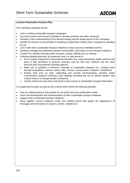

## **Location Plan/outline Scheme Plan**

The marketing campaign should:

- Link to existing sustainable transport campaigns
- Use best practise and research available to develop activities and other measures
- Develop a clear understanding of the desired change and the target groups of the Campaign.
- Identify the barriers to and benefits of travelling by alternative modes when compared to travelling by car.
- Link in with other sustainable transport initiatives to help overcome identified barriers.
- Develop a strategy that addresses barriers and benefits, and builds on new transport initiatives.
- Contain four strands covering public transport, cycling, walking and car sharing.
- Following detailed planning, be implement over a 4 year period to:
	- o Run a regular programme of promotional activities (e.g. using advertising, public relations and point of sale promotion to promote schemes such as Plus Bus, Explorer and the other discount and concessionary ticketing options).
	- o Make use of publicity to influence coverage of sustainable transport (i.e. creating news through competitions, awards, events, talks, surveys, issuing report / analysis / predictions)
	- o Employ tools such as clear, captivating and concise communication, prompts, public commitments, targeted incentives, norm appeals (including the use of 'opinion leaders' and 'trusted others') to change people's behaviour.
	- o Include central one-stop-shop web portal to give access to sustainable transport information.

It is hoped that through carrying out the scheme there will be the following benefits:

- Gain an understanding of why people do not travel (more) by sustainable modes.
- Inform the development and implementation of other sustainable transport initiatives.
- Support other sustainable transport initiatives.
- Bring together various initiatives under one unifying brand that guides the appearance of messages and information on posters, events, websites etc.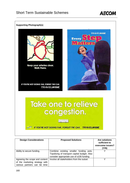

### **Supporting Photograph(s)**



Keep your arteries clear. Walk there.

IF YOU'RE NOT GOING FAR, FORGET THE CAR. **TRAVELWISE** 



# Take one to relieve<br>congestion.

IF YOU'RE NOT GOING FAR, FORGET THE CAR. TRAVELWISE

 $\mathbb{L}_{\mathbf{a}}$  ,  $\mathbb{L}_{\mathbf{a}}$ 

| <b>Design Considerations</b>                                                                     | <b>Proposed Solutions</b>                                                                                                          | <b>Are solutions</b><br>sufficient to<br>overcome issues?<br>(Y/N) |
|--------------------------------------------------------------------------------------------------|------------------------------------------------------------------------------------------------------------------------------------|--------------------------------------------------------------------|
| Ability to secure funding.                                                                       | Combine existing smaller funding pots.<br>Topslicing of transport capital budget. Also<br>consider appropriate use of s106 funding |                                                                    |
| Agreeing the scope and content<br>of the marketing strategy with<br>various partners can be time | Involve all stakeholders from the outset                                                                                           |                                                                    |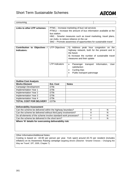

| consuming.                  |                                                                 |  |
|-----------------------------|-----------------------------------------------------------------|--|
|                             |                                                                 |  |
| Links to other UTP schemes: | PTM1 – Increase marketing of bus/ rail services                 |  |
|                             | PTM12 - Increase the amount of bus information available at the |  |
|                             | bus station.                                                    |  |
|                             | HM1 - Smarter measures such as travel marketing, travel plans,  |  |
|                             | car clubs, to reduce reliance on the car                        |  |
|                             | SM2 - Promote awareness of opportunities for sustainable travel |  |

| <b>Contribution to Objectives / UTP Objectives</b><br>Indicators: |                       | 5) Address peak hour congestion on the<br>highway network, both for the present and in<br>the future<br>8) Increase the number of sustainable travel<br>measures and their uptake |
|-------------------------------------------------------------------|-----------------------|-----------------------------------------------------------------------------------------------------------------------------------------------------------------------------------|
|                                                                   | <b>LTP</b> Indicators | Information,<br>User<br>Passenger<br>transport<br>$\bullet$<br>satisfaction<br>Cycling trips<br>٠<br>Public transport patronage<br>٠                                              |

| <b>Outline Cost Analysis</b>   |                  |              |  |
|--------------------------------|------------------|--------------|--|
| <b>Works Element</b>           | <b>Est. Cost</b> | <b>Notes</b> |  |
| <b>Campaign Development</b>    | £75k             |              |  |
| Implementation Year 1          | £75k             |              |  |
| Implementation Year 2          | £75k             |              |  |
| Implementation Year 3          | £75k             |              |  |
| Implementation Year 4          | £75k             |              |  |
| <b>TOTAL COST FOR DELIVERY</b> | £375k            |              |  |

| <b>Deliverability Assessment</b>                               |  |  |  |  |
|----------------------------------------------------------------|--|--|--|--|
| Can the scheme be delivered within the highway boundary?       |  |  |  |  |
| Can the scheme be delivered without third party involvement?   |  |  |  |  |
| Do all elements of the scheme involve standard work processes? |  |  |  |  |
| Can the scheme be delivered in the short term?                 |  |  |  |  |
| Where 'N' details for overcoming deliverability risk:          |  |  |  |  |

Other Information/Additional Notes:

Costing is based on ~£0.90 per person per year. York spent around £0.70 per resident (includes inflation) on its Awareness Raising campaign targeting drivers (Source: 'Smarter Choices – Changing the Way we Travel', DfT, 2005, Chapter 7).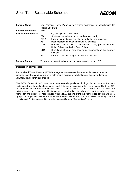

| <b>Scheme Name</b>         | Use Personal Travel Planning to promote awareness of opportunities for          |                                                               |  |  |
|----------------------------|---------------------------------------------------------------------------------|---------------------------------------------------------------|--|--|
|                            | sustainable travel                                                              |                                                               |  |  |
| <b>Scheme Reference:</b>   | SM <sub>2</sub>                                                                 |                                                               |  |  |
| <b>Problem References:</b> | C <sub>1</sub>                                                                  | Cycle ways are under used                                     |  |  |
|                            | PT <sub>8</sub>                                                                 | Sustainable modes of travel need greater priority             |  |  |
|                            | Lack of information at bus station and other key locations<br><b>PT12</b>       |                                                               |  |  |
|                            | Poor integration between bus and rail services<br>A5.                           |                                                               |  |  |
|                            | CO <sub>3</sub><br>Problems caused by school-related traffic, particularly near |                                                               |  |  |
|                            | Nobel School and Lodge Farm School                                              |                                                               |  |  |
|                            | CO <sub>4</sub>                                                                 | Cumulative effect of new housing developments on the highway  |  |  |
|                            | network                                                                         |                                                               |  |  |
|                            | S7                                                                              | Lack of travel marketing to homes and business                |  |  |
|                            |                                                                                 |                                                               |  |  |
| <b>Scheme Status:</b>      |                                                                                 | This scheme as a standalone option is not included in the UTP |  |  |

Personalised Travel Planning (PTP) is a targeted marketing technique that delivers information, provides incentives and motivates to help people overcome habitual use of the car and induce voluntary travel behaviour change.

The DfT's 'Smart Moves' travel plan news recently published findings that car use in the DfT's sustainable travel towns has been cut by nearly 10 percent according to their travel plans. The three DfTfunded demonstration towns ran smarter choices schemes over five years between 2004 and 2008. The initiative aimed to encourage residents, commuters and visitors to walk, cycle and take public transport more often and to reduce single occupancy car use. At the end of the five-year project, car use had fallen by up to nine per cent across the three towns which falls in line with personalised travelling planning reductions of 7-15% suggested in the in the *Making Smarter Choices Work* report.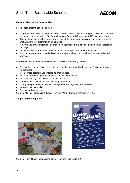

## **Location Plan/outline Scheme Plan**

It is intended that the scheme should:

- Target around 10,000 households around the old town as well as along public transport corridors to the city centre as well as Pin Green Industrial Area and Gunnels Wood Employment Area.
- Contact households in the target area by post, telephone, door knocking, community events as well as a range of other marketing activities.
- Prepare and provide targeted information on alternative travel choices and potentially particular journeys.
- Motivate individuals to use alternative modes of transport and provide incentives.
- Provide on-going support and advice, for example via help lines, mail services and dedicated websites.

By doing so, it is hoped that the scheme will realise the following benefits:

- Reduce the number of car driver trips and the distance travelled by car by 10 % in participating households;
- Create more sociable and liveable neighbourhoods
- Increase public transport use, making services more viable;
- Increase viability of local shops and businesses;
- Create more sociable and 'liveable' neighbourhoods;
- Strengthen partnerships between the agencies and organisations involved;
- Improve local air quality;
- Reduce carbon emissions.

(Source: Making Personalised Travel Planning Work – Summary Report, DfT, 2007)

## **Supporting Photograph(s)**





(Source: Hazel Grove Personalised Travel Planning Pilot, AECOM)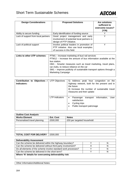

| <b>Design Considerations</b>        | <b>Proposed Solutions</b>                                                                                         | <b>Are solutions</b><br>sufficient to<br>overcome issues?<br>(Y/N) |
|-------------------------------------|-------------------------------------------------------------------------------------------------------------------|--------------------------------------------------------------------|
| Ability to secure funding           | Early identification of funding source                                                                            |                                                                    |
| Lack of support from local partners | Good project management and early<br>involvement of potential local partners in<br>design of PTP initiative.      |                                                                    |
| Lack of political support           | Involve political leaders in promotion of<br>PTP initiative. Also use local examples<br>of success in this field. |                                                                    |

| Links to other UTP schemes: | PTM1 – Increase marketing of bus/ rail services<br>PTM12 – Increase the amount of bus information available at the<br>bus station.<br>HM1 - Smarter measures such as travel marketing, travel plans,<br>car clubs, to reduce reliance on the car<br>SM1 - Improve publicity of sustainable transport options through a<br><b>Marketing Campaign</b> |
|-----------------------------|-----------------------------------------------------------------------------------------------------------------------------------------------------------------------------------------------------------------------------------------------------------------------------------------------------------------------------------------------------|
|-----------------------------|-----------------------------------------------------------------------------------------------------------------------------------------------------------------------------------------------------------------------------------------------------------------------------------------------------------------------------------------------------|

| <b>Contribution to Objectives / UTP Objectives</b><br>Indicators: |                       | 5)<br>Address peak hour congestion on the<br>highway network, both for the present and in<br>the future<br>8) Increase the number of sustainable travel<br>measures and their uptake |
|-------------------------------------------------------------------|-----------------------|--------------------------------------------------------------------------------------------------------------------------------------------------------------------------------------|
|                                                                   | <b>LTP</b> Indicators | Information,<br>User<br>Passenger<br>transport<br>$\bullet$<br>satisfaction<br>Cycling trips<br>٠<br>Public transport patronage<br>٠                                                 |

| <b>Outline Cost Analysis</b>   |                  |                            |
|--------------------------------|------------------|----------------------------|
| <b>Works Element</b>           | <b>Est. Cost</b> | <b>Notes</b>               |
| Personalised travel planning   | £500,000         | £50 per targeted household |
|                                |                  |                            |
|                                |                  |                            |
|                                |                  |                            |
|                                |                  |                            |
| <b>TOTAL COST FOR DELIVERY</b> | £500,000         |                            |

| <b>Deliverability Assessment</b>                               |  |   |  |
|----------------------------------------------------------------|--|---|--|
| Can the scheme be delivered within the highway boundary?       |  | N |  |
| Can the scheme be delivered without third party involvement?   |  | N |  |
| Do all elements of the scheme involve standard work processes? |  | N |  |
| Can the scheme be delivered in the short term?                 |  | N |  |
| Where 'N' details for overcoming deliverability risk:          |  |   |  |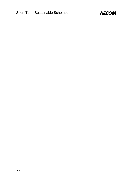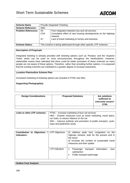

| <b>Scheme Name</b>         | Provide Integrated Ticketing                                      |                                                                         |
|----------------------------|-------------------------------------------------------------------|-------------------------------------------------------------------------|
| <b>Scheme Reference:</b>   | SM <sub>3</sub>                                                   |                                                                         |
| <b>Problem References:</b> | A5.                                                               | Poor integration between bus and rail services                          |
|                            | CO <sub>4</sub>                                                   | Cumulative effect of new housing developments on the highway<br>network |
|                            | S7                                                                | Lack of travel marketing to homes and business                          |
| <b>Scheme Status:</b>      | This scheme is being addressed through other specific UTP schemes |                                                                         |

Integrated ticketing is already provided with ticketing options such as 'Plusbus' and the 'Explorer Ticket' which can be used on most services/routes throughout the Hertfordshire. However, stakeholder events have indicated that there could be better promotion of these schemes as many people are not aware of these options. Therefore, rather than providing further options, it is proposed that the existing schemes are marketed to a greater degree to increase awareness.

## **Location Plan/outline Scheme Plan**

Increased marketing of ticketing options are included in PTM1 and SM1.

## **Supporting Photograph(s)**

| <b>Design Considerations</b> | <b>Proposed Solutions</b> | <b>Are solutions</b><br>sufficient to<br>overcome issues?<br>(Y/N) |
|------------------------------|---------------------------|--------------------------------------------------------------------|
|                              |                           |                                                                    |

| Links to other UTP schemes: | <b>PTM1</b> – Increase marketing of bus/ rail services            |
|-----------------------------|-------------------------------------------------------------------|
|                             | HM1 - Smarter measures such as travel marketing, travel plans,    |
|                             | car clubs, to reduce reliance on the car                          |
|                             | SM1 – Improve publicity and promotion of public transport, cycle- |
|                             | ways and pedestrian areas                                         |
|                             |                                                                   |

| <b>Contribution to Objectives / UTP Objectives</b><br>Indicators: |                       | 5)<br>Address peak hour congestion on the<br>highway network, both for the present and in<br>the future<br>8) Increase the number of sustainable travel<br>measures and their uptake |
|-------------------------------------------------------------------|-----------------------|--------------------------------------------------------------------------------------------------------------------------------------------------------------------------------------|
|                                                                   | <b>LTP</b> Indicators | Information,<br>User<br>transport<br>Passenger<br>satisfaction<br>Public transport patronage                                                                                         |

## **Outline Cost Analysis**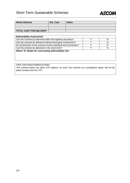

| <b>Works Element</b>           | <b>Est. Cost</b> | <b>Notes</b> |
|--------------------------------|------------------|--------------|
|                                |                  |              |
|                                |                  |              |
| <b>TOTAL COST FOR DELIVERY</b> |                  |              |

| <b>Deliverability Assessment</b>                               |   |
|----------------------------------------------------------------|---|
| Can the scheme be delivered within the highway boundary?       |   |
| Can the scheme be delivered without third party involvement?   | N |
| Do all elements of the scheme involve standard work processes? |   |
| Can the scheme be delivered in the short term?                 | N |
| Where 'N' details for overcoming deliverability risk:          |   |
|                                                                |   |
|                                                                |   |

Other Information/Additional Notes:

This scheme feeds into other UTP options. As such, this scheme as a standalone option will not be taken forward into the UTP.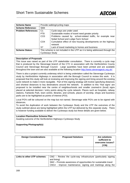

| <b>Scheme Name</b>         | Provide walking/cycling maps |                                                                             |
|----------------------------|------------------------------|-----------------------------------------------------------------------------|
| <b>Scheme Reference:</b>   | SM4                          |                                                                             |
| <b>Problem References:</b> | C <sub>1</sub>               | Cycle ways are under used                                                   |
|                            | PT <sub>8</sub>              | Sustainable modes of travel need greater priority                           |
|                            | CO <sub>3</sub>              | Problems caused by school-related traffic, for example near                 |
|                            |                              | Nobel School and Lodge Farm School                                          |
|                            | CO <sub>4</sub>              | Cumulative effect of new housing developments on the highway                |
|                            |                              | network                                                                     |
|                            | S7                           | Lack of travel marketing to homes and business                              |
| <b>Scheme Status:</b>      |                              | This scheme is not included in the UTP as it is being addressed through the |
|                            | <b>Cycleways Study</b>       |                                                                             |

This issue was raised as part of the UTP stakeholder consultation. There is currently a cycle map that is produced by the Stevenage branch of the CTC in association with the Hertfordshire County Council and Stevenage Borough Council. Large quantities have been printed and are available throughout the town and are also available at the following location http://www.stevenagectc.org.uk/.

There is also a project currently underway which is being undertaken called the Stevenage Cycleways study by Hertfordshire Highways in association with the Borough Council to review this work. It is proposed that this study will look at reviewing and improving the signing and lining around the existing cycle network to make it more navigable. Part of this signing strategy will involve specifying distances and shortest distances to key destinations around the network. In addition to this 'Hub signs' are proposed to be installed near the centre of neighbourhoods and smaller zoomed-in (local) signs placed at selected decision / entry points along the cycle network. Places such as hospitals, railway stations, Fairlands Park, town centre, libraries, and schools, places of worship, shops and business parks are to be highlighted as points of interest (POI).

Local POI's will be coloured on the map but not named. Stevenage wide POI's are to be signed with distances.

To avoid the duplication of work between the Cycleways Study and the UTP the outcomes of the study outlined above are being highlighted within the UTP but delivered by this separate study. There is however funding available to deliver the Cycleways study but these details are given below.

## **Location Plan/outline Scheme Plan**

Awaiting outcome of the Hertfordshire Highways Cycleways Study

## **Supporting Photograph(s)**

| <b>Design Considerations</b> | <b>Proposed Solutions</b> | <b>Are solutions</b><br>sufficient to<br>overcome issues?<br>(Y/N) |
|------------------------------|---------------------------|--------------------------------------------------------------------|
|                              |                           |                                                                    |
|                              |                           |                                                                    |

| Links to other UTP schemes: | CM2 – Review the cycle-way infrastructure (particularly signing |
|-----------------------------|-----------------------------------------------------------------|
|                             | and lining)                                                     |
|                             | SM2 – Promote awareness of opportunities for sustainable travel |
|                             | CM14 - Improve maintenance, signing and markings along the      |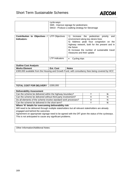

| cycle-ways                                      |
|-------------------------------------------------|
| SM5 - Improve signage for pedestrians           |
| SM10 - Produce a walking strategy for Stevenage |
|                                                 |

| <b>Contribution to Objectives / UTP Objectives</b><br>Indicators: |                       | Increase the pedestrian<br>priority<br>and<br>environment along key desire lines<br>5) Address peak hour congestion on the<br>highway network, both for the present and in<br>the future<br>8) Increase the number of sustainable travel<br>measures and their uptake |
|-------------------------------------------------------------------|-----------------------|-----------------------------------------------------------------------------------------------------------------------------------------------------------------------------------------------------------------------------------------------------------------------|
|                                                                   | <b>LTP</b> Indicators | Cycling trips                                                                                                                                                                                                                                                         |

| <b>Outline Cost Analysis</b>   |                                                                                                 |              |  |
|--------------------------------|-------------------------------------------------------------------------------------------------|--------------|--|
| <b>Works Element</b>           | <b>Est. Cost</b>                                                                                | <b>Notes</b> |  |
|                                | £300,000 available from the Housing and Growth Fund, with consultancy fees being covered by HCC |              |  |
|                                |                                                                                                 |              |  |
|                                |                                                                                                 |              |  |
|                                |                                                                                                 |              |  |
|                                |                                                                                                 |              |  |
| <b>TOTAL COST FOR DELIVERY</b> | £300,000                                                                                        |              |  |
|                                |                                                                                                 |              |  |

| <b>Deliverability Assessment</b>                                                                  |   |              |
|---------------------------------------------------------------------------------------------------|---|--------------|
| Can the scheme be delivered within the highway boundary?                                          |   | N            |
| Can the scheme be delivered without third party involvement?                                      | Y | N            |
| Do all elements of the scheme involve standard work processes?                                    | ¥ | N            |
| Can the scheme be delivered in the short term?                                                    |   | <sup>N</sup> |
| Where 'N' details for overcoming deliverability risk:                                             |   |              |
| Will need to be delivered through multiple stakeholders but all relevant stakeholders are already |   |              |
| engaged and behind the outcomes                                                                   |   |              |

Agreement on appropriate signage need to be agreed with the DfT given the status of the cycleways. This is not anticipated to cause any significant problems.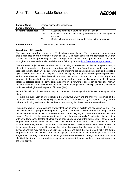

| <b>Scheme Name</b>         | Improve signage for pedestrians    |                                                                         |
|----------------------------|------------------------------------|-------------------------------------------------------------------------|
| <b>Scheme Reference:</b>   | SM <sub>5</sub>                    |                                                                         |
| <b>Problem References:</b> | PT <sub>8</sub>                    | Sustainable modes of travel need greater priority                       |
|                            | CO <sub>4</sub>                    | Cumulative effect of new housing developments on the highway<br>network |
|                            | W <sub>1</sub>                     | Conflicts between cyclists and pedestrians in the town centre           |
| <b>Scheme Status:</b>      | This scheme is included in the UTP |                                                                         |

This issue was raised as part of the UTP stakeholder consultation. There is currently a cycle map that is produced by the Stevenage branch of the CTC in association with the Hertfordshire County Council and Stevenage Borough Council. Large quantities have been printed and are available throughout the town and are also available at the following location http://www.stevenagectc.org.uk/.

There is also a project currently underway which is being undertaken called the Stevenage Cycleways study by Hertfordshire Highways in association with the Borough Council to review this work. It is proposed that this study will look at reviewing and improving the signing and lining around the existing cycle network to make it more navigable. Part of this signing strategy will involve specifying distances and shortest distances to key destinations around the network. In addition to this 'Hub signs' are proposed to be installed near the centre of neighbourhoods and smaller zoomed-in (local) signs placed at selected decision / entry points along the cycle network. Places such as hospitals, railway stations, Fairlands Park, town centre, libraries, and schools, places of worship, shops and business parks are to be highlighted as points of interest (POI).

Local POI's will be coloured on the map but not named. Stevenage wide POI's are to be signed with distances.

To avoid the duplication of work between the Cycleways Study and the UTP the outcomes of the study outlined above are being highlighted within the UTP but delivered by this separate study. There is however funding available to deliver the Cycleways study but these details are given below.

The study above will provide signing strategy that can be used by cyclists and pedestrian's alike. This will only deal with signing on the segregated cycle and pedestrian network around Stevenage. There would need to be an additional scheme focused around signing for pedestrians around the town centre. Site visits to the town centre identified that there are currently 2 pedestrian signing points within the town centre located at either end of pedestrianised area of the town centre. If these could be provided in more locations it would make navigation of the town centre easier. These would need to be located at key decision points around the town centre. These locations have been identified in the diagram below. It should however be noted that given that the town centre is due for redevelopment this may not be an efficient use of funds and could be incorporated within the future proposals for the town centre. Additional signage is mentioned in the 'Stevenage Town Centre Regeneration Strategy – Final Report' as things that could be delivered through quick wins. We have identified that it would be appropriate to implement a further 5 signage locations on key entry points to the town centre.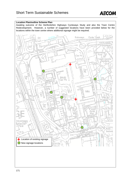

## **Location Plan/outline Scheme Plan**

Awaiting outcome of the Hertfordshire Highways Cycleways Study and also the Town Centre Redevelopment. However, a number of suggested locations have been provided below for the locations within the town centre where additional signage might be required.

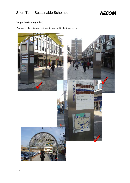

## **Supporting Photograph(s)**

Examples of existing pedestrian signage within the town centre.

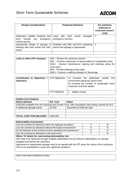

| <b>Design Considerations</b>                                                               | <b>Proposed Solutions</b>                                                  | <b>Are solutions</b><br>sufficient to<br>overcome issues?<br>(Y/N) |
|--------------------------------------------------------------------------------------------|----------------------------------------------------------------------------|--------------------------------------------------------------------|
| Determine suitable locations that<br>don't<br>hamper<br>emergency<br>any<br>vehicle access | with<br>Liase<br>manager/<br>centre<br>town<br>emergency services          | Y                                                                  |
| Appropriate design of signage in<br>keeping with town brand and SM1<br>brand               | Establish with SBC and HCC marketing<br>teams that signage is appropriate. | Υ                                                                  |
|                                                                                            |                                                                            |                                                                    |

| Links to other UTP schemes: | CM2 – Review the cycleway network                               |
|-----------------------------|-----------------------------------------------------------------|
|                             | SM2 – Promote awareness of opportunities for sustainable travel |
|                             | CM14 - Improve maintenance, signing and markings along the      |
|                             | cycle-ways                                                      |
|                             | SM4 - Provide walking/cycling maps                              |
|                             | SM10 - Produce a walking strategy for Stevenage                 |

| <b>Contribution to Objectives / UTP Objectives</b><br>Indicators: |                       | <b>1</b><br>Increase the pedestrian<br>priority<br>and<br>environment along key desire lines<br>8) Increase the number of sustainable travel<br>measures and their uptake |
|-------------------------------------------------------------------|-----------------------|---------------------------------------------------------------------------------------------------------------------------------------------------------------------------|
|                                                                   | <b>LTP</b> Indicators | Rights of Way                                                                                                                                                             |

| <b>Outline Cost Analysis</b>   |           |                                                                                                 |  |
|--------------------------------|-----------|-------------------------------------------------------------------------------------------------|--|
| <b>Works Element</b>           | Est. Cost | <b>Notes</b>                                                                                    |  |
|                                |           | £300,000 available from the Housing and Growth Fund, with consultancy fees being covered by HCC |  |
| 5 additional signage points    | £2,500    | Assumed as £500 per sign                                                                        |  |
|                                |           |                                                                                                 |  |
|                                |           |                                                                                                 |  |
| <b>TOTAL COST FOR DELIVERY</b> | £300,000  |                                                                                                 |  |

| <b>Deliverability Assessment</b>                               |   |
|----------------------------------------------------------------|---|
| Can the scheme be delivered within the highway boundary?       | N |
| Can the scheme be delivered without third party involvement?   |   |
| Do all elements of the scheme involve standard work processes? |   |
| Can the scheme be delivered in the short term?                 | Ν |
| Where 'N' details for overcoming deliverability risk:          |   |

Will need to be delivered through multiple stakeholders but all relevant stakeholders are already engaged and behind the outcomes

Agreement on appropriate signage need to be agreed with the DfT given the status of the cycleways. This is not anticipated to cause any significant problems.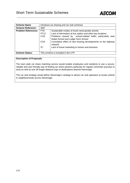

| <b>Scheme Name</b>         |                 | Introduce car sharing and car club schemes                   |  |
|----------------------------|-----------------|--------------------------------------------------------------|--|
| <b>Scheme Reference:</b>   | SM <sub>7</sub> |                                                              |  |
| <b>Problem References:</b> | PT8             | Sustainable modes of travel need greater priority            |  |
|                            | PT12            | Lack of information at bus station and other key locations   |  |
|                            | CO <sub>3</sub> | Problems caused by school-related traffic, particularly near |  |
|                            |                 | Nobel School and Lodge Farm School                           |  |
|                            | CO <sub>4</sub> | Cumulative effect of new housing developments on the highway |  |
|                            |                 | network                                                      |  |
|                            | S7              | Lack of travel marketing to homes and business               |  |
|                            |                 |                                                              |  |
| <b>Scheme Status:</b>      |                 | This scheme is included in the UTP                           |  |

The town wide car share matching service would enable employees and residents to use a secure, reliable and user-friendly way of finding car share partners particular for regular commuter journeys to work as well as one off longer distance trips to destinations beyond Stevenage.

The car club strategy would define Stevenage's strategy to attract car club operators to locate vehicle in neighbourhoods across Stevenage.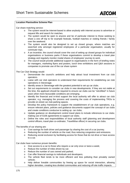

## **Location Plan/outline Scheme Plan**

Car share matching service:

- o The system would be internet-based to allow anybody with internet access to advertise or request lifts and search for matches.
- o The system would be open to anyone and be of particular interest to those seeking to share a one off trip to for example festivals, football matches or visiting friends / family over the weekend.
- o The system would also be designed to set up closed groups, where matches are searched only amongst registered employees of a particular organisation, usually for commuter trips.
- o A an incentive, the council should cover the cost of setting up closed groups for individual organisations or business parks if these organisations commit to develop a travel plan strategy and regularly monitor modal shares of employees' journey to work.
- The council would provide additional support to organisations in the form of briefing notes for managers, marketing flyers and posters, lunch time exhibitions and Q&A sessions in companies to promote use of the car share system

The Car Club Strategy would:

- o Demonstrate the council's ambitions and help attract local investment from car club operators.
- o Liaise with car club operators to understand their requirements for establishing car club operations in Stevenage.
- o Identify areas in Stevenage with the greatest potential to set up car clubs.
- o Set out requirements to consider car clubs in new developments. If they are not viable at the time, the applicant should be required to ensure car clubs can be "retrofitted" in future years when more favourable conditions are emerging.
- o Identify the financial and in-kind support the local authority will offer to attract car club operator, e.g. managing the process and covering the costs of implementing TROs to provide on-street car club parking spaces.
- o Develop the policy framework to support the establishment of car club operations, e.g. ensure relevant plans, policies and guidance documents support the concept of car clubs and create conditions conducive to setting up car clubs;
- o Update guidance on development control travel plans to include references to car clubs; making use of S106 agreements to support car clubs;
- o Define the roles and responsibilities of local authority staff (planning and development control officers, travel plan co-ordinator, TravelWise officer) in securing car clubs.

The benefits of car sharing are:

- o Cost savings for both driver and passenger by sharing the cost of a car journey.
- o Reducing the number of vehicle on the road, thus reducing congestion and emissions.
- o Reducing social exclusion by facilitating access for those that do not drive or have access to a car.

Car clubs have numerous proven benefits:

- o Give access to a car to those who require a car only once or twice a week;
- o Reduce the number of miles driven by car;
- o Reduce the number of cars owned and parked;
- o Can offer financial savings to individuals and developers;
- o The vehicle fleet tends to be more efficient and less polluting than privately owned vehicle;
- o Help deliver liveable communities by freeing up space for social interaction, allowing higher densities, creating less divided communities and reducing off-site traffic impacts.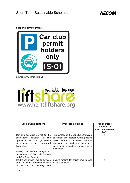

**Supporting Photograph(s)** 



Source: www.carplus.org.uk



| <b>Design Considerations</b>                                                                                                                                               | <b>Proposed Solutions</b>                                                                                                                                                                                                    | <b>Are solutions</b><br>sufficient to<br>overcome issues?<br>(Y/N) |
|----------------------------------------------------------------------------------------------------------------------------------------------------------------------------|------------------------------------------------------------------------------------------------------------------------------------------------------------------------------------------------------------------------------|--------------------------------------------------------------------|
| Car club operators do not (in the<br>short term) establish car club<br>operations as the<br>(economic)<br>environment is not<br>considered<br>favourable.                  | The purpose of the Car Club Strategy is<br>to identify and address where possible<br>these barriers. If necessary, maintain<br>watching brief until the (economic)<br>environment is conducive to car clubs in<br>Stevenage. | $\checkmark$                                                       |
| Inability to secure<br>budget<br>tor<br>development of Car Club Strategy<br>and Car Share Scheme.<br>Insufficient officer time to develop<br>and implement recommendations | Secure funding for officer time through<br>S <sub>106</sub> contributions.                                                                                                                                                   | Y                                                                  |
| the Car Club<br>οf<br>strategy<br>and                                                                                                                                      |                                                                                                                                                                                                                              |                                                                    |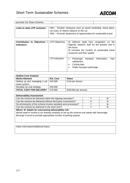

| promote Car Share Scheme.   |                                                                                                                                                                               |
|-----------------------------|-------------------------------------------------------------------------------------------------------------------------------------------------------------------------------|
|                             |                                                                                                                                                                               |
| Links to other UTP schemes: | HM1 - Smarter measures such as travel marketing, travel plans,<br>car clubs, to reduce reliance on the car<br>SM2 - Promote awareness of opportunities for sustainable travel |

| <b>Contribution to Objectives / UTP Objectives</b><br>Indicators: |                       | 5) Address peak hour congestion on the<br>highway network, both for the present and in<br>the future<br>8) Increase the number of sustainable travel<br>measures and their uptake |  |
|-------------------------------------------------------------------|-----------------------|-----------------------------------------------------------------------------------------------------------------------------------------------------------------------------------|--|
|                                                                   | <b>LTP</b> Indicators | Information,<br>User<br>Passenger<br>transport<br>$\bullet$<br>satisfaction<br>Cycling trips<br>٠<br>Public transport patronage                                                   |  |

| <b>Outline Cost Analysis</b>   |           |                       |  |
|--------------------------------|-----------|-----------------------|--|
| <b>Works Element</b>           | Est. Cost | <b>Notes</b>          |  |
| Setting up and managing a car  | £40.000   | Cost per annum        |  |
| share system.                  |           |                       |  |
| Develop car club strategy.     | £30,000   |                       |  |
| <b>TOTAL COST FOR DELIVERY</b> | £70,000   | $(E40,000$ per annum) |  |

| <b>Deliverability Assessment</b>                               |          |
|----------------------------------------------------------------|----------|
| Can the scheme be delivered within the highway boundary?       | <b>N</b> |
| Can the scheme be delivered without third party involvement?   |          |
| Do all elements of the scheme involve standard work processes? | <b>N</b> |
| Can the scheme be delivered in the short term?                 | N        |

**Where 'N' details for overcoming deliverability risk**:

Would need to involve a car sharing company to set up the scheme and speak with Stevenage Borough Council to provide appropriate number of parking spaces.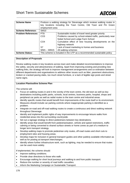| <b>Scheme Name</b>         |                                                                 | Produce a walking strategy for Stevenage which reviews walking routes in |  |
|----------------------------|-----------------------------------------------------------------|--------------------------------------------------------------------------|--|
|                            | key locations including the Town Centre, Old Town and Pin Green |                                                                          |  |
|                            | employment area                                                 |                                                                          |  |
| <b>Scheme Reference:</b>   | <b>SM10</b>                                                     |                                                                          |  |
| <b>Problem References:</b> | PT <sub>8</sub>                                                 | Sustainable modes of travel need greater priority                        |  |
|                            | CO <sub>3</sub>                                                 | Problems caused by school-related traffic, particularly near             |  |
|                            |                                                                 | Nobel School and Lodge Farm School                                       |  |
|                            | CO <sub>4</sub>                                                 | Cumulative effect of new housing developments on the                     |  |
|                            |                                                                 | highway network                                                          |  |
|                            | S7                                                              | Lack of travel marketing to homes and business                           |  |
|                            | WM1 - WM15                                                      | All walking schemes                                                      |  |
| <b>Scheme Status:</b>      |                                                                 | This scheme is included in the UTP as a recommended sustainable policy   |  |

AECO

## **Description of Proposals**

Review walking routes in key locations across town and make detailed recommendations to improve the safety, security and attractiveness of walking. Apart from improving existing and providing new walking links, the strategy will look to improve management arrangements and co-ordination between different departments and organisations to address other issues such as litter, pavement obstructions, broken or cracked paving slabs, too much street furniture, or a lack of legible sign posts and street name signs.

## **Location Plan/outline Scheme Plan**

The scheme will:

- Focus on walking routes in and in the vicinity of the town centre, the old town as well as key destinations including public parks, schools, local centres, business parks, hospital, shops and peripheral car parks as well as radial routes to the town centre and industrial areas.
- Identify specific routes that would benefit from improvements of the route itself or its environment. Measures should include car parking controls where inappropriate parking is identified as a problem.
- Integrate on-road and off-road walking routes to create a continuous and direct walking network throughout Stevenage.
- Identify and implement public rights of way improvements to encourage leisure walks from residential areas into the surrounding countryside.
- Set out a signage strategy to direct pedestrians between key destinations.
- Identify areas that would benefit from pedestrianisation, vehicle and speed restrictions, traffic calming or being converted to shared surface streets or home zones as part of a medium to longer term transport strategy.
- Develop walking maps to promote pedestrian only routes, off-road routes and short cuts to employment sites and housing areas.
- Develop maps for inclusion in general transport guides and other publicly available information as well as for posting at transport interchanges.
- Identify where further infrastructure work, such as lighting, may be needed to ensure that routes can be used more widely.

If implemented, the scheme should:

- Improve walking conditions.
- Provide clear directions to those who walk.
- Encourage walking for short local journeys and walking to and from public transport.
- Reduce the number or severity of road traffic casualties.
- Inform the Marketing Campaign on Sustainable Transport.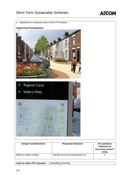

• Represent a component part of the PTP scheme.





| <b>Regents Canal</b><br><b>Sadlers Wells</b>                                                                          |  |
|-----------------------------------------------------------------------------------------------------------------------|--|
| a<br><b>Williams</b> Hanne<br><b>Saturd Falcheron</b><br>₩<br>蒜<br>Sirilia<br><b>Avisinan Crowns</b><br><b>SALEIR</b> |  |

| <b>Design Considerations</b> | <b>Proposed Solutions</b>           | <b>Are solutions</b><br>sufficient to<br>overcome issues?<br>(Y/N) |
|------------------------------|-------------------------------------|--------------------------------------------------------------------|
| Ability to obtain funding    | Identify source of funding early on |                                                                    |

**Links to other UTP schemes:** All Walking Schemes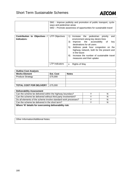

**AECOM** 

| <b>Contribution to Objectives / UTP Objectives</b><br>Indicators: |                       | 1)<br>the<br>pedestrian<br>priority<br>and<br>Increase<br>environment along key desire lines                                                               |
|-------------------------------------------------------------------|-----------------------|------------------------------------------------------------------------------------------------------------------------------------------------------------|
|                                                                   |                       | 3)<br>Improve the accessibility<br>οf<br>key<br>destinations for all users                                                                                 |
|                                                                   |                       | Address peak hour congestion on the<br>5)<br>highway network, both for the present and<br>in the future<br>8)<br>Increase the number of sustainable travel |
|                                                                   |                       | measures and their uptake                                                                                                                                  |
|                                                                   | <b>LTP</b> Indicators | Rights of Way<br>٠                                                                                                                                         |

| <b>Outline Cost Analysis</b>   |           |              |
|--------------------------------|-----------|--------------|
| <b>Works Element</b>           | Est. Cost | <b>Notes</b> |
| <b>Produce Strategy</b>        | £75,000   |              |
|                                |           |              |
|                                |           |              |
| <b>TOTAL COST FOR DELIVERY</b> | £75,000   |              |

| <b>Deliverability Assessment</b>                               |   |   |
|----------------------------------------------------------------|---|---|
| Can the scheme be delivered within the highway boundary?       | ◡ | N |
| Can the scheme be delivered without third party involvement?   |   | N |
| Do all elements of the scheme involve standard work processes? |   | N |
| Can the scheme be delivered in the short term?                 |   | N |
| Where 'N' details for overcoming deliverability risk:          |   |   |
|                                                                |   |   |
|                                                                |   |   |
|                                                                |   |   |
|                                                                |   |   |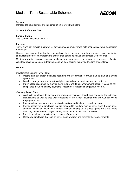

## **Scheme:**

Increase the development and implementation of work travel plans

### **Scheme Reference:** SM6

### **Scheme Status:**

This scheme is included in the UTP

## **Purpose:**

Travel plans can provide a catalyst for developers and employers to help shape sustainable transport in Stevenage.

However, development control travel plans have to set out clear targets and require close monitoring and a credible enforcement regime to ensure their stated objectives and targets are being met.

Most organisations require external guidance, encouragement and support to implement effective voluntary travel plans. Local authorities are in an ideal position to provide this kind of assistance.

## **Details:**

Development Control Travel Plans:

- o Update and strengthen guidance regarding the preparation of travel plan as part of planning applications.
- o Develop clear guidance on how travel plans are to be monitored, secured and enforced.
- o Put in place resources to monitor travel plans and taken enforcement action in case of noncompliance including penalty payments / measures if modal shift targets are not met.

Voluntary Travel Plans:

- o Work with employers to develop and implement voluntary travel plan strategies for individual organisations as well as area wide strategies for Pin Green industrial area and Gunnels Wood Employment Area.
- o Provide advice, assistance (e.g. post code plotting) and tools (e.g. travel surveys).
- Provide incentives to employers that are prepared to regularly monitor travel plans through travel surveys. Incentives could, for example, include: setting up a closed group on a car share matching system free of charge; offering discounts on public transport tickets.
- o Publish modal share results of travel surveys (league table).
- o Recognise employers that lead on travel plans (awards) and promote their achievements.